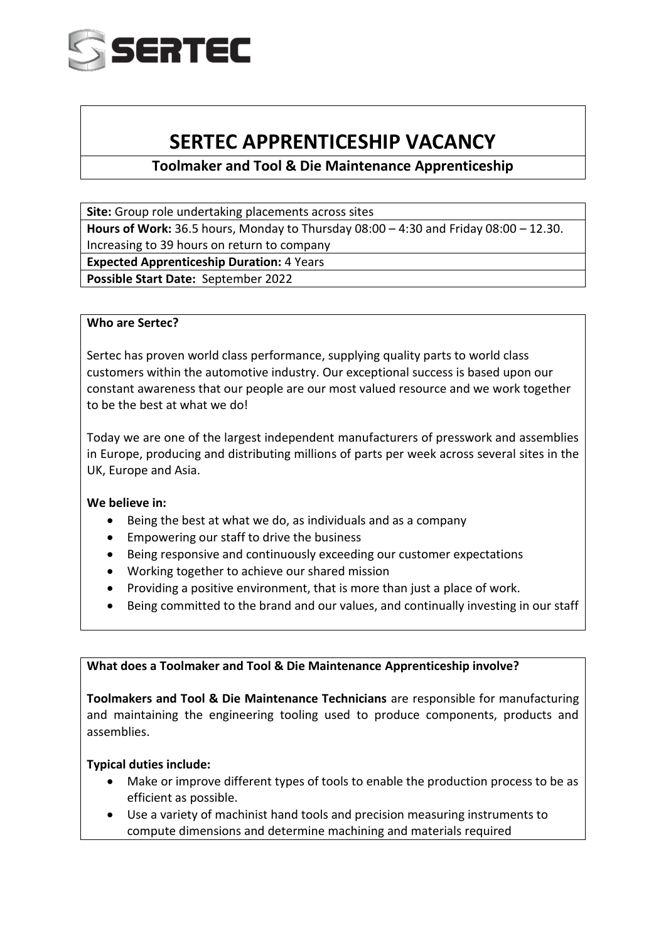

# **SERTEC APPRENTICESHIP VACANCY**

## **Toolmaker and Tool & Die Maintenance Apprenticeship**

**Site:** Group role undertaking placements across sites

**Hours of Work:** 36.5 hours, Monday to Thursday 08:00 – 4:30 and Friday 08:00 – 12.30. Increasing to 39 hours on return to company

**Expected Apprenticeship Duration:** 4 Years

**Possible Start Date:** September 2022

#### **Who are Sertec?**

Sertec has proven world class performance, supplying quality parts to world class customers within the automotive industry. Our exceptional success is based upon our constant awareness that our people are our most valued resource and we work together to be the best at what we do!

Today we are one of the largest independent manufacturers of presswork and assemblies in Europe, producing and distributing millions of parts per week across several sites in the UK, Europe and Asia.

#### **We believe in:**

- Being the best at what we do, as individuals and as a company
- Empowering our staff to drive the business
- Being responsive and continuously exceeding our customer expectations
- Working together to achieve our shared mission
- Providing a positive environment, that is more than just a place of work.
- Being committed to the brand and our values, and continually investing in our staff

#### **What does a Toolmaker and Tool & Die Maintenance Apprenticeship involve?**

**Toolmakers and Tool & Die Maintenance Technicians** are responsible for manufacturing and maintaining the engineering tooling used to produce components, products and assemblies.

#### **Typical duties include:**

- Make or improve different types of tools to enable the production process to be as efficient as possible.
- Use a variety of machinist hand tools and precision measuring instruments to compute dimensions and determine machining and materials required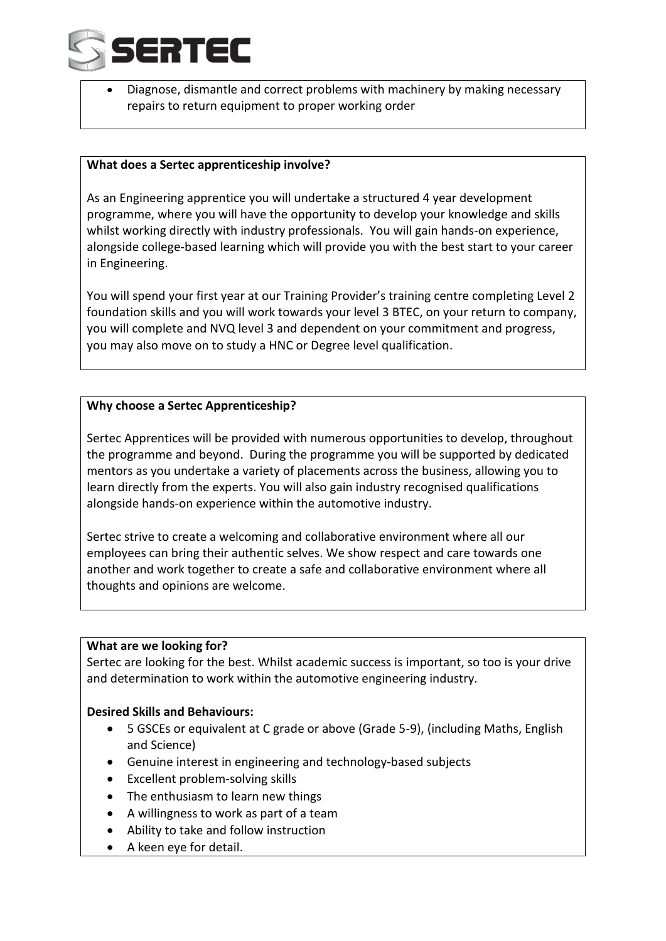

• Diagnose, dismantle and correct problems with machinery by making necessary repairs to return equipment to proper working order

#### **What does a Sertec apprenticeship involve?**

As an Engineering apprentice you will undertake a structured 4 year development programme, where you will have the opportunity to develop your knowledge and skills whilst working directly with industry professionals. You will gain hands-on experience, alongside college-based learning which will provide you with the best start to your career in Engineering.

You will spend your first year at our Training Provider's training centre completing Level 2 foundation skills and you will work towards your level 3 BTEC, on your return to company, you will complete and NVQ level 3 and dependent on your commitment and progress, you may also move on to study a HNC or Degree level qualification.

#### **Why choose a Sertec Apprenticeship?**

Sertec Apprentices will be provided with numerous opportunities to develop, throughout the programme and beyond. During the programme you will be supported by dedicated mentors as you undertake a variety of placements across the business, allowing you to learn directly from the experts. You will also gain industry recognised qualifications alongside hands-on experience within the automotive industry.

Sertec strive to create a welcoming and collaborative environment where all our employees can bring their authentic selves. We show respect and care towards one another and work together to create a safe and collaborative environment where all thoughts and opinions are welcome.

#### **What are we looking for?**

Sertec are looking for the best. Whilst academic success is important, so too is your drive and determination to work within the automotive engineering industry.

#### **Desired Skills and Behaviours:**

- 5 GSCEs or equivalent at C grade or above (Grade 5-9), (including Maths, English and Science)
- Genuine interest in engineering and technology-based subjects
- Excellent problem-solving skills
- The enthusiasm to learn new things
- A willingness to work as part of a team
- Ability to take and follow instruction
- A keen eye for detail.